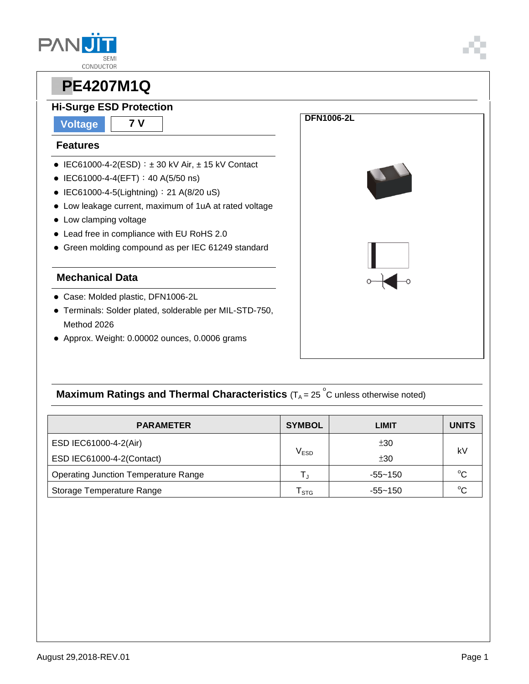

#### **Hi-Surge ESD Protection**

**Voltage 7 V**

#### **Features**

- $\bullet$  IEC61000-4-2(ESD):  $\pm$  30 kV Air,  $\pm$  15 kV Contact
- $\bullet$  IEC61000-4-4(EFT): 40 A(5/50 ns)
- IEC61000-4-5(Lightning): 21 A(8/20 uS)
- Low leakage current, maximum of 1uA at rated voltage
- Low clamping voltage
- Lead free in compliance with EU RoHS 2.0
- Green molding compound as per IEC 61249 standard

#### **Mechanical Data**

- Case: Molded plastic, DFN1006-2L
- Terminals: Solder plated, solderable per MIL-STD-750, Method 2026
- Approx. Weight: 0.00002 ounces, 0.0006 grams



### **Maximum Ratings and Thermal Characteristics** (T<sub>A</sub> = 25<sup>°</sup>C unless otherwise noted)

| <b>PARAMETER</b>                            | <b>SYMBOL</b> | LIMIT       | <b>UNITS</b> |
|---------------------------------------------|---------------|-------------|--------------|
| ESD IEC61000-4-2(Air)                       |               | ±30         |              |
| ESD IEC61000-4-2(Contact)                   | $\rm V_{ESD}$ | ±30         | kV           |
| <b>Operating Junction Temperature Range</b> |               | $-55 - 150$ | $^{\circ}C$  |
| Storage Temperature Range                   | <b>STG</b>    | $-55 - 150$ | $^{\circ}C$  |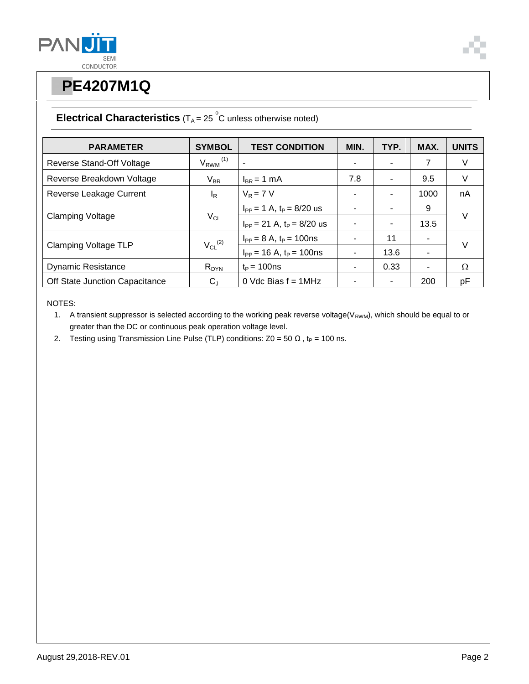



#### **Electrical Characteristics**  $(T_A = 25 \degree C$  unless otherwise noted)

| <b>PARAMETER</b>               | <b>SYMBOL</b>            | <b>TEST CONDITION</b>            | MIN. | TYP. | MAX. | <b>UNITS</b> |
|--------------------------------|--------------------------|----------------------------------|------|------|------|--------------|
| Reverse Stand-Off Voltage      | $V_{RWM}$ <sup>(1)</sup> |                                  |      |      | 7    | V            |
| Reverse Breakdown Voltage      | $V_{BR}$                 | $I_{BR}$ = 1 mA                  | 7.8  |      | 9.5  | V            |
| Reverse Leakage Current        | l <sub>R</sub>           | $V_R = 7 V$                      |      |      | 1000 | nA           |
| <b>Clamping Voltage</b>        | $V_{CL}$                 | $I_{PP} = 1$ A, $t_P = 8/20$ us  |      |      | 9    | $\vee$       |
|                                |                          | $I_{PP}$ = 21 A, $t_P$ = 8/20 us |      |      | 13.5 |              |
| <b>Clamping Voltage TLP</b>    | $V_{CL}$ <sup>(2)</sup>  | $I_{PP} = 8 A$ , $t_P = 100$ ns  |      | 11   | ۰    | $\vee$       |
|                                |                          | $I_{PP}$ = 16 A, $t_P$ = 100ns   |      | 13.6 | ۰    |              |
| <b>Dynamic Resistance</b>      | $R_{DYN}$                | $t_P = 100$ ns                   |      | 0.33 | ۰    | Ω            |
| Off State Junction Capacitance | $C_{J}$                  | 0 Vdc Bias $f = 1$ MHz           |      |      | 200  | pF           |

NOTES:

1. A transient suppressor is selected according to the working peak reverse voltage( $V_{RWM}$ ), which should be equal to or greater than the DC or continuous peak operation voltage level.

2. Testing using Transmission Line Pulse (TLP) conditions:  $Z0 = 50 \Omega$ , t<sub>P</sub> = 100 ns.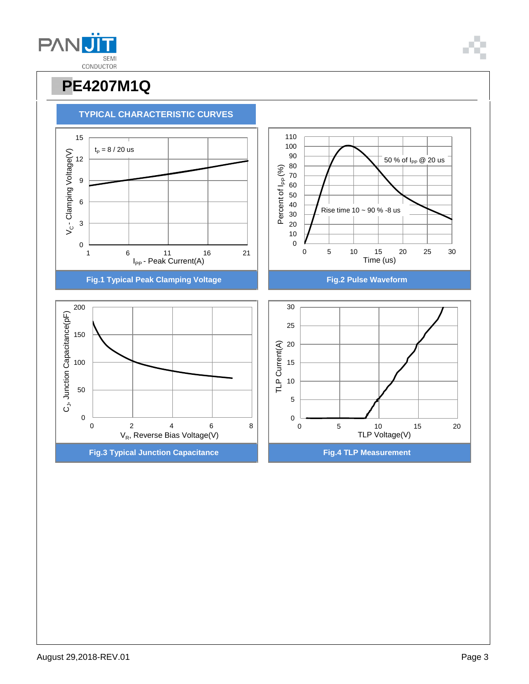



![](_page_2_Picture_4.jpeg)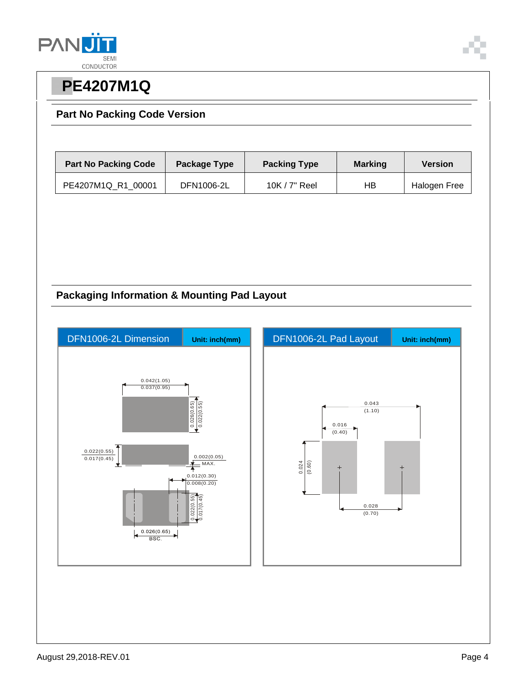![](_page_3_Picture_0.jpeg)

#### **Part No Packing Code Version**

| <b>Part No Packing Code</b> | Package Type | <b>Packing Type</b> | <b>Marking</b> | <b>Version</b> |
|-----------------------------|--------------|---------------------|----------------|----------------|
| PE4207M1Q R1 00001          | DFN1006-2L   | 10K $/$ 7" Reel     | HВ             | Halogen Free   |

#### **Packaging Information & Mounting Pad Layout**

![](_page_3_Figure_5.jpeg)